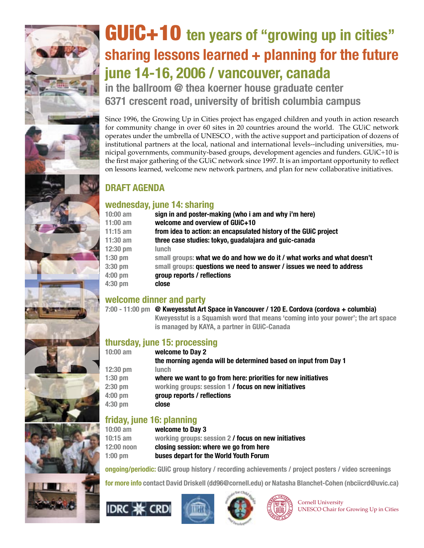# **sharing lessons learned + planning for the future june 14-16, 2006 / vancouver, canada**

## **DRAFT AGENDA**

### **wednesday, june 14: sharing**

| <b>GUIC+10</b> ten years of "growing up in cities"                                                                                                                                        |                                                                                               |  |  |  |
|-------------------------------------------------------------------------------------------------------------------------------------------------------------------------------------------|-----------------------------------------------------------------------------------------------|--|--|--|
| sharing lessons learned + planning for the future                                                                                                                                         |                                                                                               |  |  |  |
| june 14-16, 2006 / vancouver, canada                                                                                                                                                      |                                                                                               |  |  |  |
|                                                                                                                                                                                           |                                                                                               |  |  |  |
|                                                                                                                                                                                           | in the ballroom $@$ thea koerner house graduate center                                        |  |  |  |
|                                                                                                                                                                                           | 6371 crescent road, university of british columbia campus                                     |  |  |  |
|                                                                                                                                                                                           |                                                                                               |  |  |  |
| Since 1996, the Growing Up in Cities project has engaged children and youth in action research                                                                                            |                                                                                               |  |  |  |
| for community change in over 60 sites in 20 countries around the world. The GUiC network<br>operates under the umbrella of UNESCO, with the active support and participation of dozens of |                                                                                               |  |  |  |
| institutional partners at the local, national and international levels--including universities, mu-                                                                                       |                                                                                               |  |  |  |
|                                                                                                                                                                                           | nicipal governments, community-based groups, development agencies and funders. GUiC+10 is     |  |  |  |
| the first major gathering of the GUiC network since 1997. It is an important opportunity to reflect                                                                                       |                                                                                               |  |  |  |
|                                                                                                                                                                                           | on lessons learned, welcome new network partners, and plan for new collaborative initiatives. |  |  |  |
|                                                                                                                                                                                           |                                                                                               |  |  |  |
| <b>DRAFT AGENDA</b>                                                                                                                                                                       |                                                                                               |  |  |  |
|                                                                                                                                                                                           | wednesday, june 14: sharing                                                                   |  |  |  |
| $10:00$ am                                                                                                                                                                                | sign in and poster-making (who i am and why i'm here)                                         |  |  |  |
| $11:00$ am                                                                                                                                                                                | welcome and overview of GUiC+10                                                               |  |  |  |
| $11:15$ am                                                                                                                                                                                | from idea to action: an encapsulated history of the GUiC project                              |  |  |  |
| $11:30$ am                                                                                                                                                                                | three case studies: tokyo, guadalajara and guic-canada                                        |  |  |  |
| 12:30 pm                                                                                                                                                                                  | <b>lunch</b>                                                                                  |  |  |  |
| $1:30$ pm                                                                                                                                                                                 | small groups: what we do and how we do it / what works and what doesn't                       |  |  |  |
| 3:30 pm                                                                                                                                                                                   | small groups: questions we need to answer / issues we need to address                         |  |  |  |
| 4:00 pm                                                                                                                                                                                   | group reports / reflections                                                                   |  |  |  |
| 4:30 pm                                                                                                                                                                                   | close                                                                                         |  |  |  |
| welcome dinner and party                                                                                                                                                                  |                                                                                               |  |  |  |
|                                                                                                                                                                                           | 7:00 - 11:00 pm @ Kweyesstut Art Space in Vancouver / 120 E. Cordova (cordova + columbia)     |  |  |  |
|                                                                                                                                                                                           | Kweyesstut is a Squamish word that means 'coming into your power'; the art space              |  |  |  |
|                                                                                                                                                                                           | is managed by KAYA, a partner in GUiC-Canada                                                  |  |  |  |
|                                                                                                                                                                                           |                                                                                               |  |  |  |
| thursday, june 15: processing<br>welcome to Day 2<br>$10:00$ am                                                                                                                           |                                                                                               |  |  |  |
|                                                                                                                                                                                           | the morning agenda will be determined based on input from Day 1                               |  |  |  |
| 12:30 pm                                                                                                                                                                                  | lunch                                                                                         |  |  |  |
| $1:30$ pm                                                                                                                                                                                 | where we want to go from here: priorities for new initiatives                                 |  |  |  |
| 2:30 pm                                                                                                                                                                                   | working groups: session 1 / focus on new initiatives                                          |  |  |  |
| 4:00 pm                                                                                                                                                                                   | group reports / reflections                                                                   |  |  |  |

### **welcome dinner and party**

### **thursday, june 15: processing**

| $10:00$ am | welcome to Day 2                                                |
|------------|-----------------------------------------------------------------|
|            | the morning agenda will be determined based on input from Day 1 |
| $12:30$ pm | <b>lunch</b>                                                    |
| $1:30$ pm  | where we want to go from here: priorities for new initiatives   |
| $2:30$ pm  | working groups: session 1 / focus on new initiatives            |
| $4:00$ pm  | group reports / reflections                                     |
| $4:30$ pm  | close                                                           |
|            |                                                                 |

### **friday, june 16: planning**

| 10:00 am   | welcome to Day 3                                     |
|------------|------------------------------------------------------|
| 10:15 am   | working groups: session 2 / focus on new initiatives |
| 12:00 noon | closing session: where we go from here               |
| 1:00 pm    | buses depart for the World Youth Forum               |

**ongoing/periodic: GUiC group history / recording achievements / project posters / video screenings**

**for more info contact David Driskell (dd96@cornell.edu) or Natasha Blanchet-Cohen (nbciicrd@uvic.ca)**









Cornell University UNESCO Chair for Growing Up in Cities